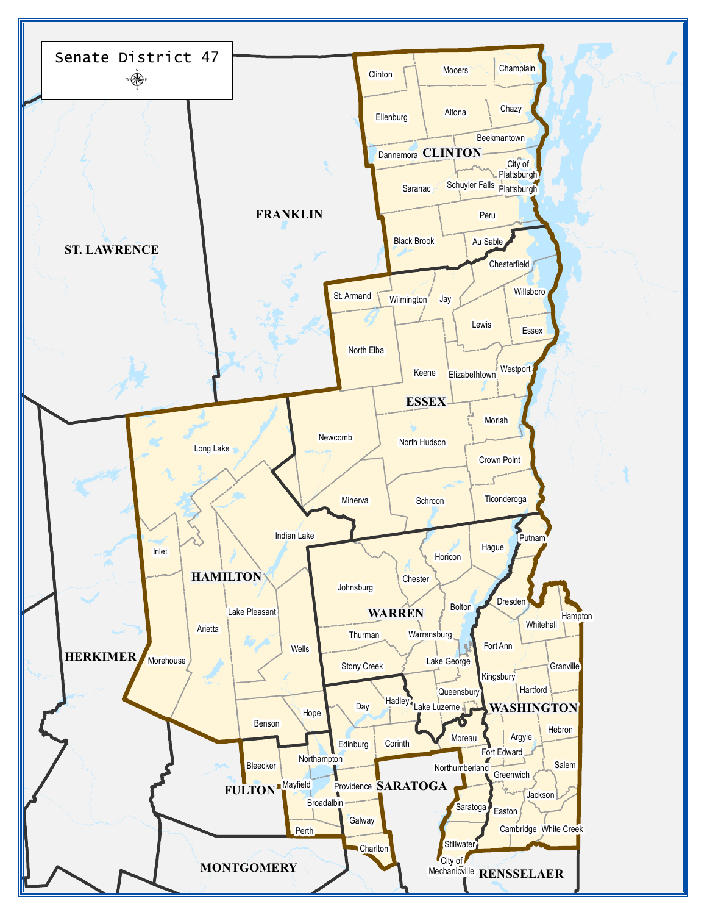